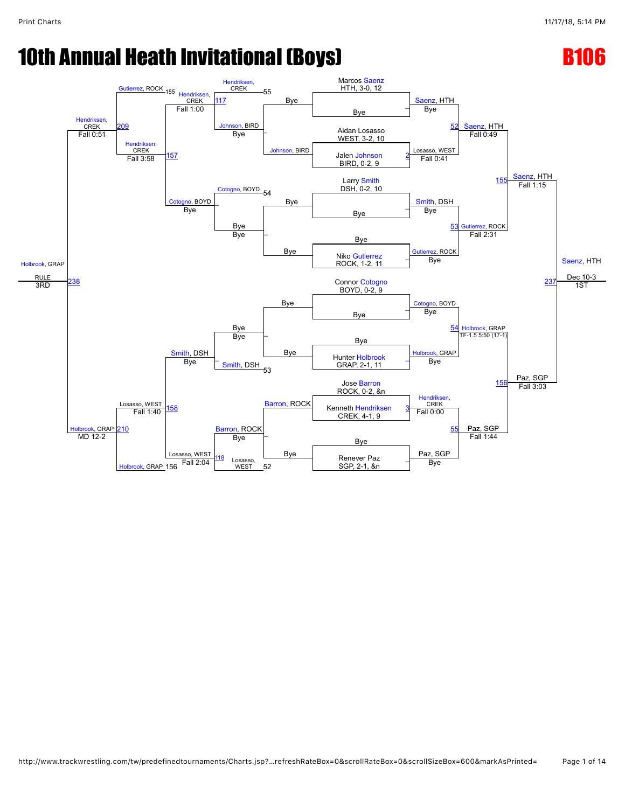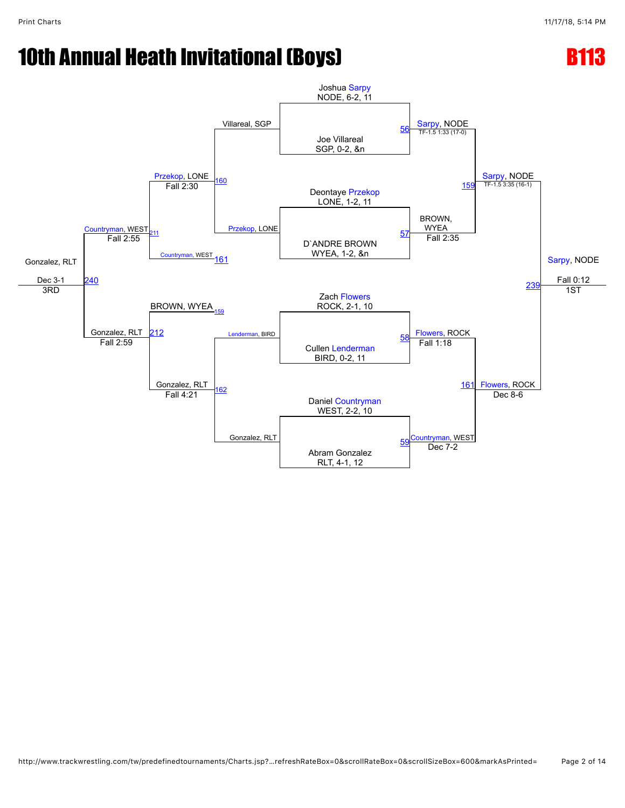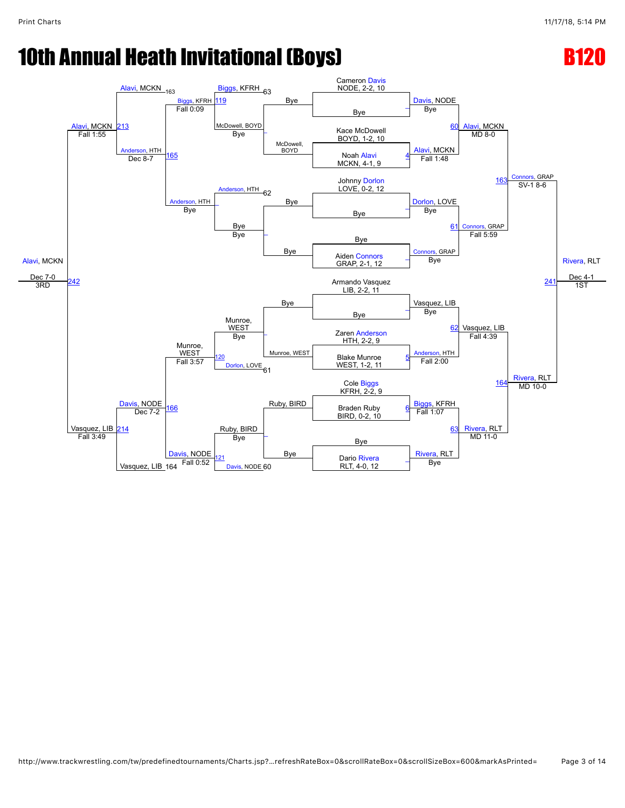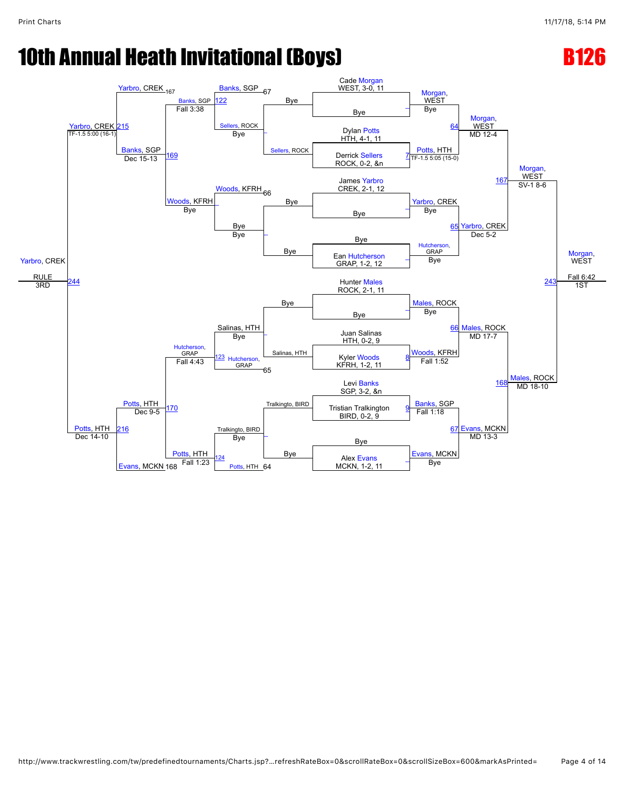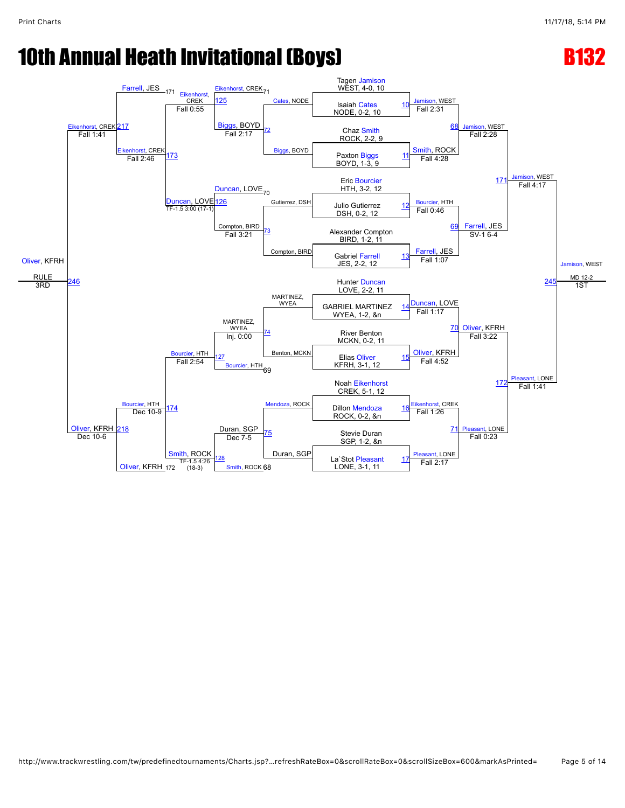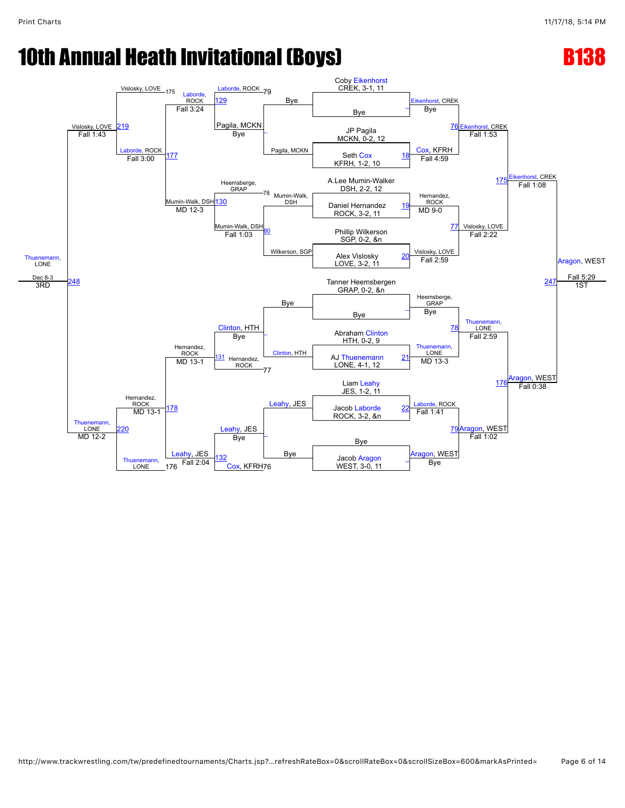

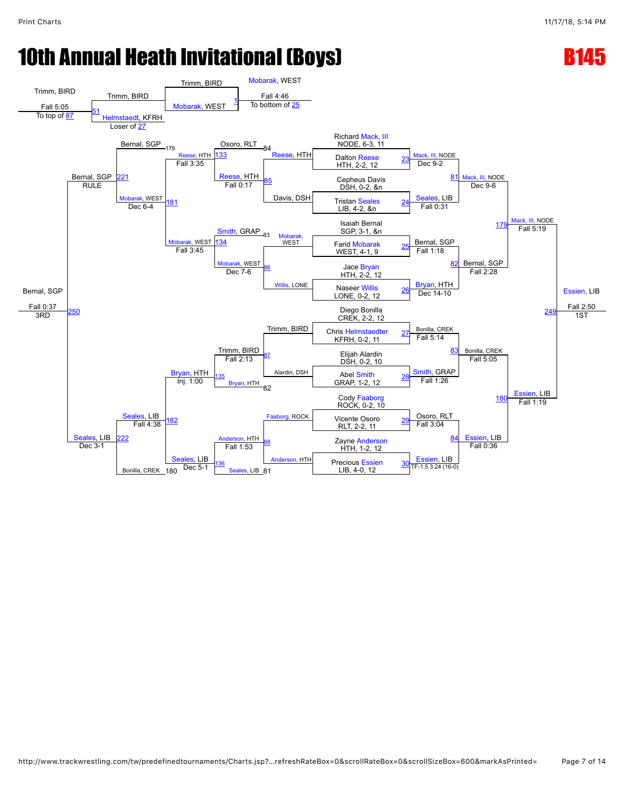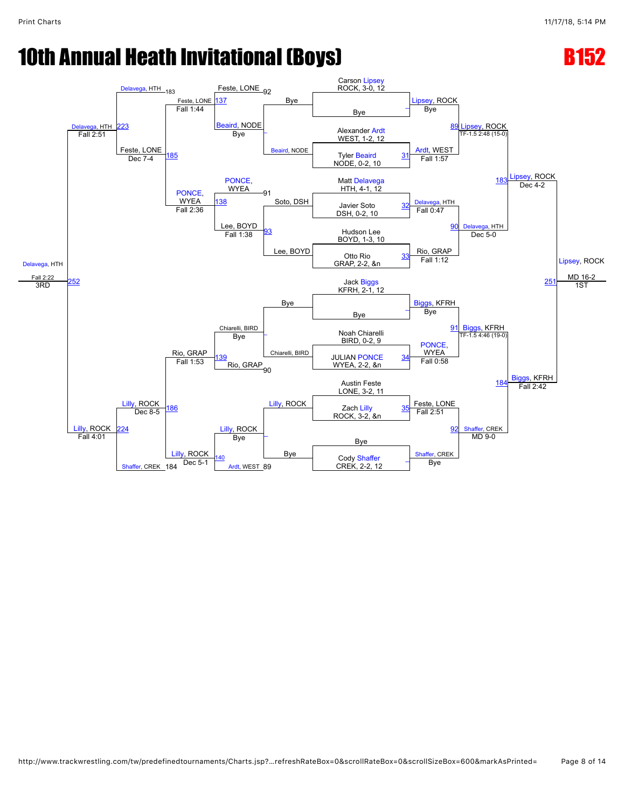

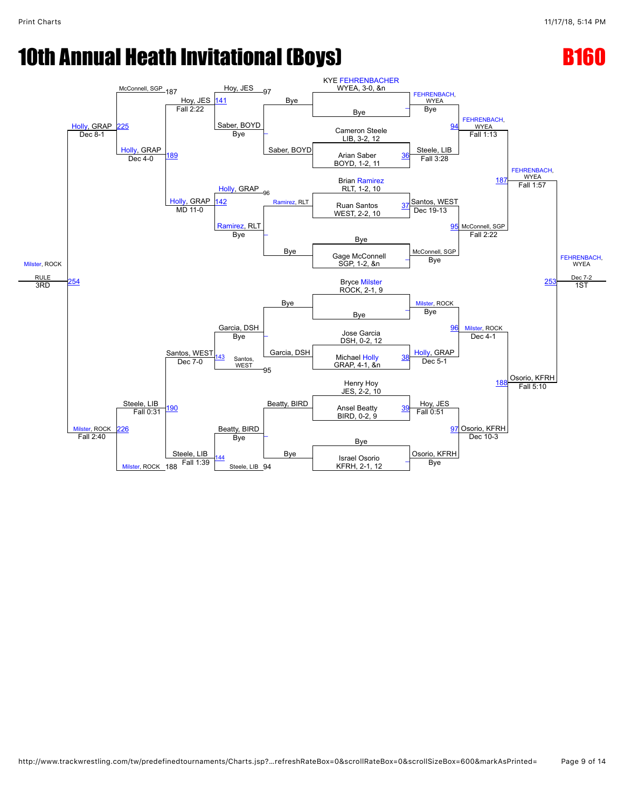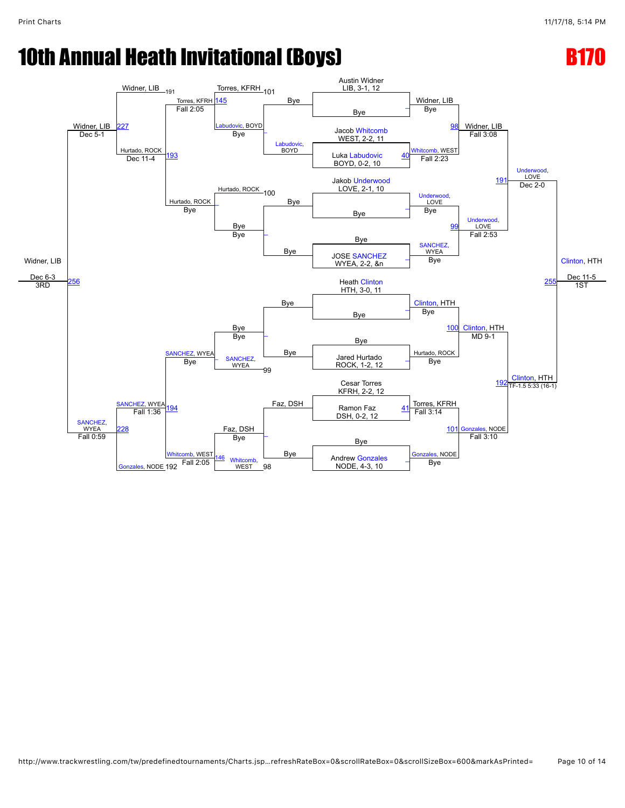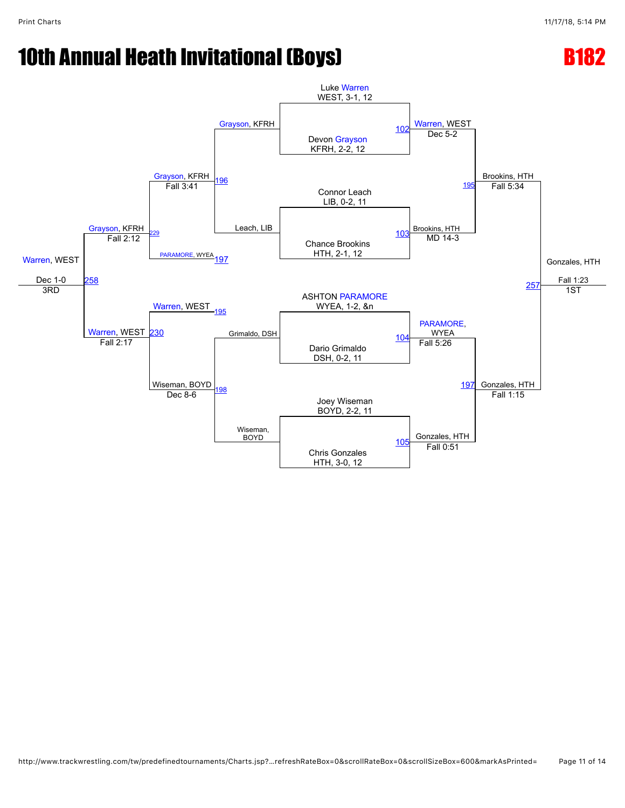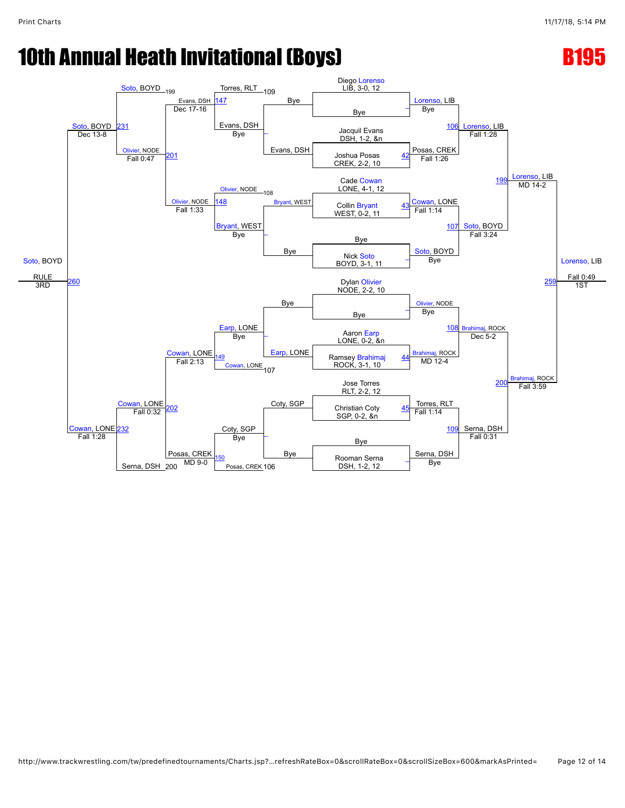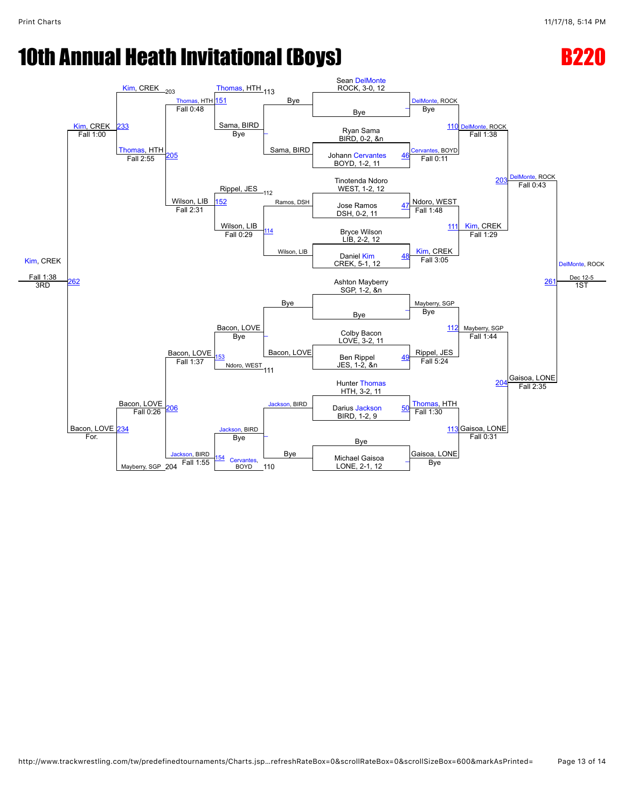